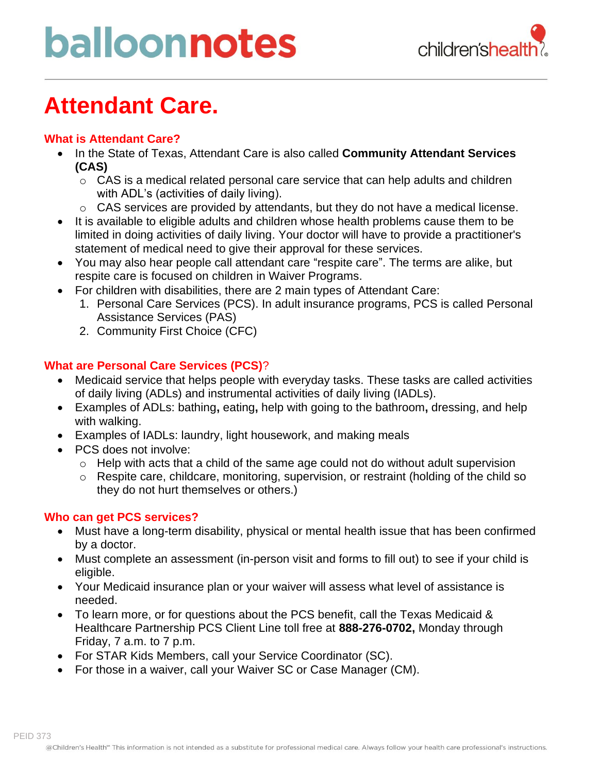# balloonnotes



### **Attendant Care.**

### **What is Attendant Care?**

- In the State of Texas, Attendant Care is also called **Community Attendant Services (CAS)**
	- $\circ$  CAS is a medical related personal care service that can help adults and children with ADL's (activities of daily living).
	- o CAS services are provided by attendants, but they do not have a medical license.
- It is available to eligible adults and children whose health problems cause them to be limited in doing activities of daily living. Your doctor will have to provide a practitioner's statement of medical need to give their approval for these services.
- You may also hear people call attendant care "respite care". The terms are alike, but respite care is focused on children in Waiver Programs.
- For children with disabilities, there are 2 main types of Attendant Care:
	- 1. Personal Care Services (PCS). In adult insurance programs, PCS is called Personal Assistance Services (PAS)
	- 2. Community First Choice (CFC)

#### **What are Personal Care Services (PCS)**?

- Medicaid service that helps people with everyday tasks. These tasks are called activities of daily living (ADLs) and instrumental activities of daily living (IADLs).
- Examples of ADLs: bathing**,** eating**,** help with going to the bathroom**,** dressing, and help with walking.
- Examples of IADLs: laundry, light housework, and making meals
- PCS does not involve:
	- o Help with acts that a child of the same age could not do without adult supervision
	- o Respite care, childcare, monitoring, supervision, or restraint (holding of the child so they do not hurt themselves or others.)

#### **Who can get PCS services?**

- Must have a long-term disability, physical or mental health issue that has been confirmed by a doctor.
- Must complete an assessment (in-person visit and forms to fill out) to see if your child is eligible.
- Your Medicaid insurance plan or your waiver will assess what level of assistance is needed.
- To learn more, or for questions about the PCS benefit, call the Texas Medicaid & Healthcare Partnership PCS Client Line toll free at **888-276-0702,** Monday through Friday, 7 a.m. to 7 p.m.
- For STAR Kids Members, call your Service Coordinator (SC).
- For those in a waiver, call your Waiver SC or Case Manager (CM).